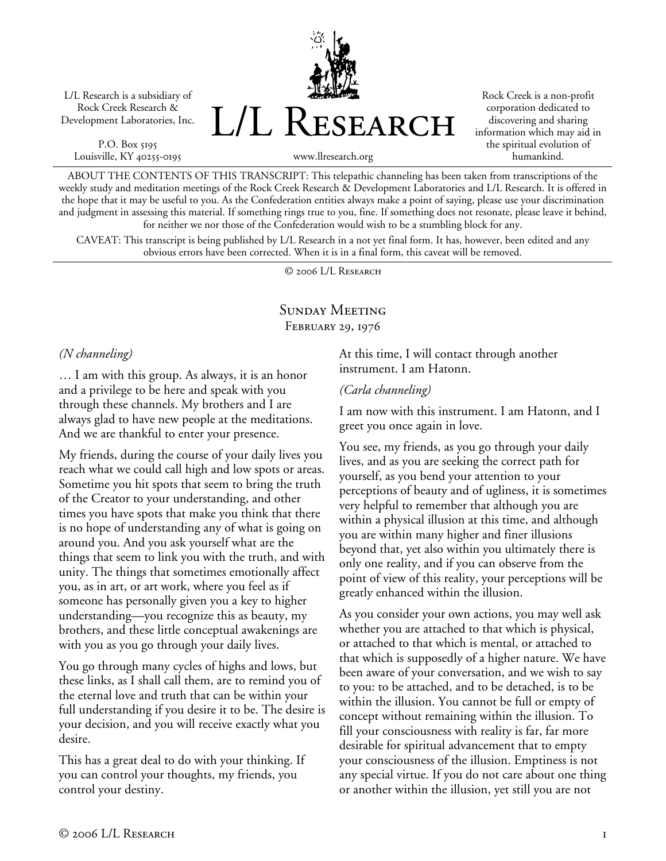L/L Research is a subsidiary of Rock Creek Research & Development Laboratories, Inc.

P.O. Box 5195 Louisville, KY 40255-0195 L/L Research

Rock Creek is a non-profit corporation dedicated to discovering and sharing information which may aid in the spiritual evolution of humankind.

ABOUT THE CONTENTS OF THIS TRANSCRIPT: This telepathic channeling has been taken from transcriptions of the weekly study and meditation meetings of the Rock Creek Research & Development Laboratories and L/L Research. It is offered in the hope that it may be useful to you. As the Confederation entities always make a point of saying, please use your discrimination and judgment in assessing this material. If something rings true to you, fine. If something does not resonate, please leave it behind, for neither we nor those of the Confederation would wish to be a stumbling block for any.

www.llresearch.org

CAVEAT: This transcript is being published by L/L Research in a not yet final form. It has, however, been edited and any obvious errors have been corrected. When it is in a final form, this caveat will be removed.

© 2006 L/L Research

# Sunday Meeting February 29, 1976

### *(N channeling)*

… I am with this group. As always, it is an honor and a privilege to be here and speak with you through these channels. My brothers and I are always glad to have new people at the meditations. And we are thankful to enter your presence.

My friends, during the course of your daily lives you reach what we could call high and low spots or areas. Sometime you hit spots that seem to bring the truth of the Creator to your understanding, and other times you have spots that make you think that there is no hope of understanding any of what is going on around you. And you ask yourself what are the things that seem to link you with the truth, and with unity. The things that sometimes emotionally affect you, as in art, or art work, where you feel as if someone has personally given you a key to higher understanding—you recognize this as beauty, my brothers, and these little conceptual awakenings are with you as you go through your daily lives.

You go through many cycles of highs and lows, but these links, as I shall call them, are to remind you of the eternal love and truth that can be within your full understanding if you desire it to be. The desire is your decision, and you will receive exactly what you desire.

This has a great deal to do with your thinking. If you can control your thoughts, my friends, you control your destiny.

At this time, I will contact through another instrument. I am Hatonn.

#### *(Carla channeling)*

I am now with this instrument. I am Hatonn, and I greet you once again in love.

You see, my friends, as you go through your daily lives, and as you are seeking the correct path for yourself, as you bend your attention to your perceptions of beauty and of ugliness, it is sometimes very helpful to remember that although you are within a physical illusion at this time, and although you are within many higher and finer illusions beyond that, yet also within you ultimately there is only one reality, and if you can observe from the point of view of this reality, your perceptions will be greatly enhanced within the illusion.

As you consider your own actions, you may well ask whether you are attached to that which is physical, or attached to that which is mental, or attached to that which is supposedly of a higher nature. We have been aware of your conversation, and we wish to say to you: to be attached, and to be detached, is to be within the illusion. You cannot be full or empty of concept without remaining within the illusion. To fill your consciousness with reality is far, far more desirable for spiritual advancement that to empty your consciousness of the illusion. Emptiness is not any special virtue. If you do not care about one thing or another within the illusion, yet still you are not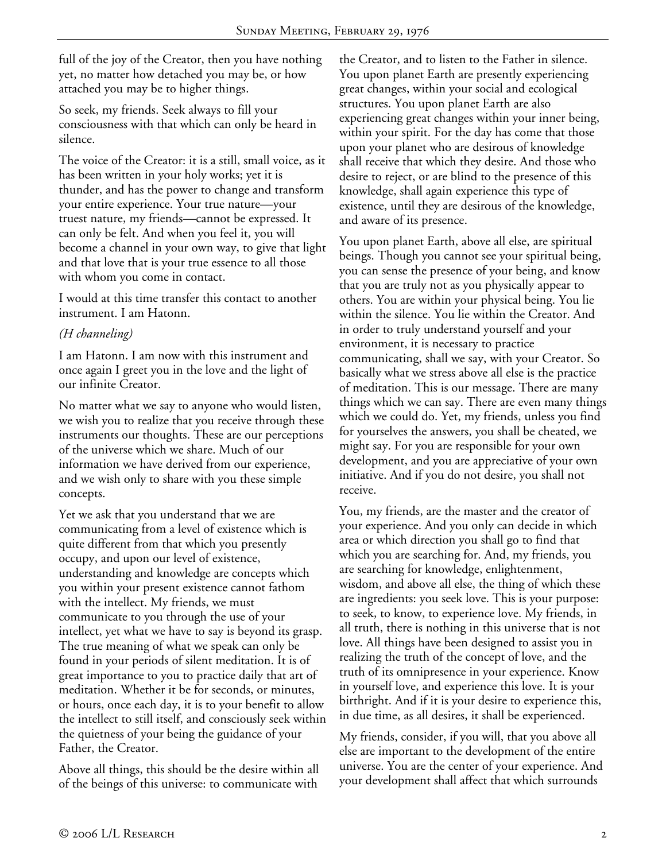full of the joy of the Creator, then you have nothing yet, no matter how detached you may be, or how attached you may be to higher things.

So seek, my friends. Seek always to fill your consciousness with that which can only be heard in silence.

The voice of the Creator: it is a still, small voice, as it has been written in your holy works; yet it is thunder, and has the power to change and transform your entire experience. Your true nature—your truest nature, my friends—cannot be expressed. It can only be felt. And when you feel it, you will become a channel in your own way, to give that light and that love that is your true essence to all those with whom you come in contact.

I would at this time transfer this contact to another instrument. I am Hatonn.

### *(H channeling)*

I am Hatonn. I am now with this instrument and once again I greet you in the love and the light of our infinite Creator.

No matter what we say to anyone who would listen, we wish you to realize that you receive through these instruments our thoughts. These are our perceptions of the universe which we share. Much of our information we have derived from our experience, and we wish only to share with you these simple concepts.

Yet we ask that you understand that we are communicating from a level of existence which is quite different from that which you presently occupy, and upon our level of existence, understanding and knowledge are concepts which you within your present existence cannot fathom with the intellect. My friends, we must communicate to you through the use of your intellect, yet what we have to say is beyond its grasp. The true meaning of what we speak can only be found in your periods of silent meditation. It is of great importance to you to practice daily that art of meditation. Whether it be for seconds, or minutes, or hours, once each day, it is to your benefit to allow the intellect to still itself, and consciously seek within the quietness of your being the guidance of your Father, the Creator.

Above all things, this should be the desire within all of the beings of this universe: to communicate with

the Creator, and to listen to the Father in silence. You upon planet Earth are presently experiencing great changes, within your social and ecological structures. You upon planet Earth are also experiencing great changes within your inner being, within your spirit. For the day has come that those upon your planet who are desirous of knowledge shall receive that which they desire. And those who desire to reject, or are blind to the presence of this knowledge, shall again experience this type of existence, until they are desirous of the knowledge, and aware of its presence.

You upon planet Earth, above all else, are spiritual beings. Though you cannot see your spiritual being, you can sense the presence of your being, and know that you are truly not as you physically appear to others. You are within your physical being. You lie within the silence. You lie within the Creator. And in order to truly understand yourself and your environment, it is necessary to practice communicating, shall we say, with your Creator. So basically what we stress above all else is the practice of meditation. This is our message. There are many things which we can say. There are even many things which we could do. Yet, my friends, unless you find for yourselves the answers, you shall be cheated, we might say. For you are responsible for your own development, and you are appreciative of your own initiative. And if you do not desire, you shall not receive.

You, my friends, are the master and the creator of your experience. And you only can decide in which area or which direction you shall go to find that which you are searching for. And, my friends, you are searching for knowledge, enlightenment, wisdom, and above all else, the thing of which these are ingredients: you seek love. This is your purpose: to seek, to know, to experience love. My friends, in all truth, there is nothing in this universe that is not love. All things have been designed to assist you in realizing the truth of the concept of love, and the truth of its omnipresence in your experience. Know in yourself love, and experience this love. It is your birthright. And if it is your desire to experience this, in due time, as all desires, it shall be experienced.

My friends, consider, if you will, that you above all else are important to the development of the entire universe. You are the center of your experience. And your development shall affect that which surrounds